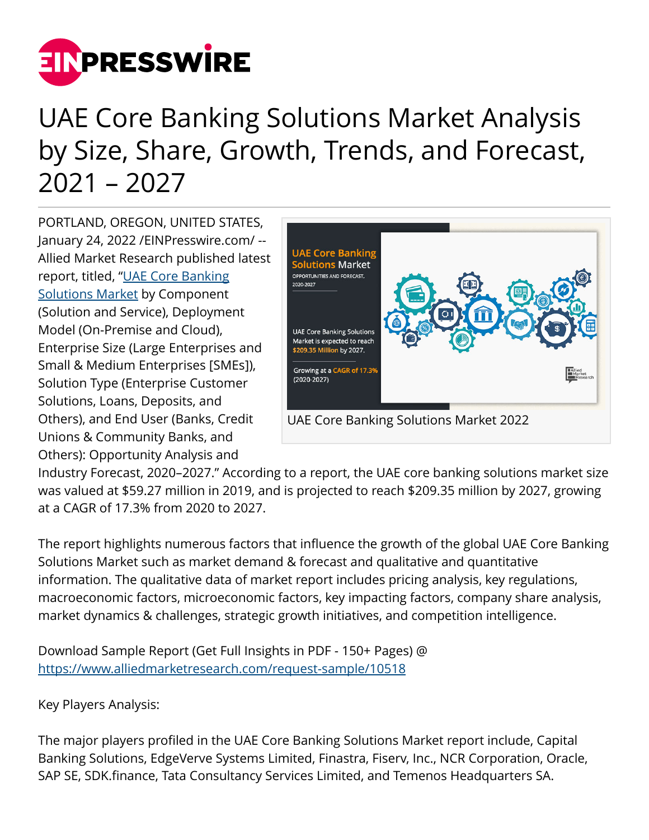

## UAE Core Banking Solutions Market Analysis by Size, Share, Growth, Trends, and Forecast, 2021 – 2027

PORTLAND, OREGON, UNITED STATES, January 24, 2022 /[EINPresswire.com](http://www.einpresswire.com)/ -- Allied Market Research published latest report, titled, ["UAE Core Banking](https://www.alliedmarketresearch.com/uae-core-banking-solutions-market-A10153) [Solutions Market](https://www.alliedmarketresearch.com/uae-core-banking-solutions-market-A10153) by Component (Solution and Service), Deployment Model (On-Premise and Cloud), Enterprise Size (Large Enterprises and Small & Medium Enterprises [SMEs]), Solution Type (Enterprise Customer Solutions, Loans, Deposits, and Others), and End User (Banks, Credit Unions & Community Banks, and Others): Opportunity Analysis and



Industry Forecast, 2020–2027." According to a report, the UAE core banking solutions market size was valued at \$59.27 million in 2019, and is projected to reach \$209.35 million by 2027, growing at a CAGR of 17.3% from 2020 to 2027.

The report highlights numerous factors that influence the growth of the global UAE Core Banking Solutions Market such as market demand & forecast and qualitative and quantitative information. The qualitative data of market report includes pricing analysis, key regulations, macroeconomic factors, microeconomic factors, key impacting factors, company share analysis, market dynamics & challenges, strategic growth initiatives, and competition intelligence.

Download Sample Report (Get Full Insights in PDF - 150+ Pages) @ <https://www.alliedmarketresearch.com/request-sample/10518>

Key Players Analysis:

The major players profiled in the UAE Core Banking Solutions Market report include, Capital Banking Solutions, EdgeVerve Systems Limited, Finastra, Fiserv, Inc., NCR Corporation, Oracle, SAP SE, SDK.finance, Tata Consultancy Services Limited, and Temenos Headquarters SA.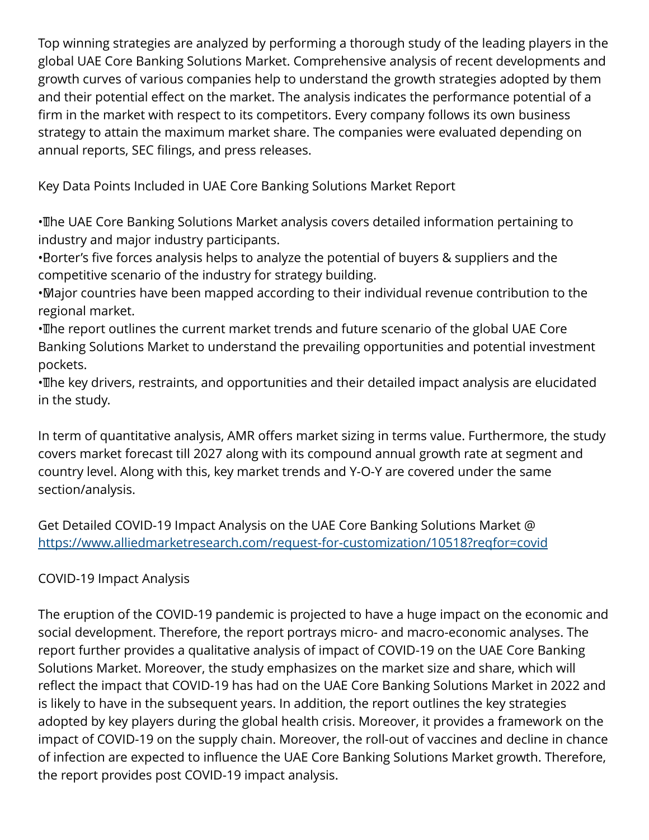Top winning strategies are analyzed by performing a thorough study of the leading players in the global UAE Core Banking Solutions Market. Comprehensive analysis of recent developments and growth curves of various companies help to understand the growth strategies adopted by them and their potential effect on the market. The analysis indicates the performance potential of a firm in the market with respect to its competitors. Every company follows its own business strategy to attain the maximum market share. The companies were evaluated depending on annual reports, SEC filings, and press releases.

Key Data Points Included in UAE Core Banking Solutions Market Report

• The UAE Core Banking Solutions Market analysis covers detailed information pertaining to industry and major industry participants.

• Borter's five forces analysis helps to analyze the potential of buyers & suppliers and the competitive scenario of the industry for strategy building.

• Major countries have been mapped according to their individual revenue contribution to the regional market.

• The report outlines the current market trends and future scenario of the global UAE Core Banking Solutions Market to understand the prevailing opportunities and potential investment pockets.

• The key drivers, restraints, and opportunities and their detailed impact analysis are elucidated in the study.

In term of quantitative analysis, AMR offers market sizing in terms value. Furthermore, the study covers market forecast till 2027 along with its compound annual growth rate at segment and country level. Along with this, key market trends and Y-O-Y are covered under the same section/analysis.

Get Detailed COVID-19 Impact Analysis on the UAE Core Banking Solutions Market @ <https://www.alliedmarketresearch.com/request-for-customization/10518?reqfor=covid>

## COVID-19 Impact Analysis

The eruption of the COVID-19 pandemic is projected to have a huge impact on the economic and social development. Therefore, the report portrays micro- and macro-economic analyses. The report further provides a qualitative analysis of impact of COVID-19 on the UAE Core Banking Solutions Market. Moreover, the study emphasizes on the market size and share, which will reflect the impact that COVID-19 has had on the UAE Core Banking Solutions Market in 2022 and is likely to have in the subsequent years. In addition, the report outlines the key strategies adopted by key players during the global health crisis. Moreover, it provides a framework on the impact of COVID-19 on the supply chain. Moreover, the roll-out of vaccines and decline in chance of infection are expected to influence the UAE Core Banking Solutions Market growth. Therefore, the report provides post COVID-19 impact analysis.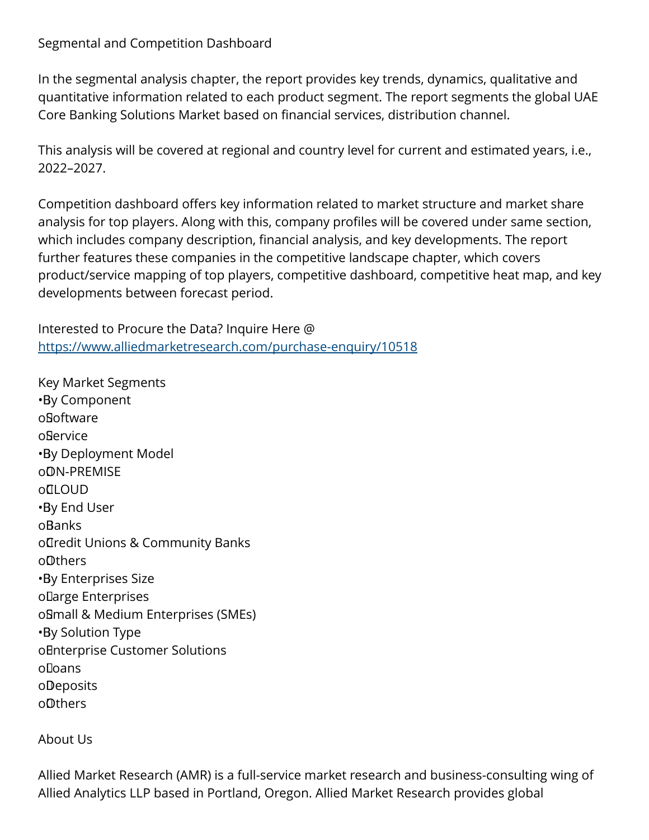Segmental and Competition Dashboard

In the segmental analysis chapter, the report provides key trends, dynamics, qualitative and quantitative information related to each product segment. The report segments the global UAE Core Banking Solutions Market based on financial services, distribution channel.

This analysis will be covered at regional and country level for current and estimated years, i.e., 2022–2027.

Competition dashboard offers key information related to market structure and market share analysis for top players. Along with this, company profiles will be covered under same section, which includes company description, financial analysis, and key developments. The report further features these companies in the competitive landscape chapter, which covers product/service mapping of top players, competitive dashboard, competitive heat map, and key developments between forecast period.

Interested to Procure the Data? Inquire Here @ <https://www.alliedmarketresearch.com/purchase-enquiry/10518>

Key Market Segments • By Component o Software o Service • By Deployment Model o ON-PREMISE o**OLOUD** • By End User **oBanks** o**Tredit Unions & Community Banks** o Others • By Enterprises Size o Large Enterprises o Small & Medium Enterprises (SMEs) • By Solution Type o Enterprise Customer Solutions o Loans **oDeposits** o Others

About Us

Allied Market Research (AMR) is a full-service market research and business-consulting wing of Allied Analytics LLP based in Portland, Oregon. Allied Market Research provides global